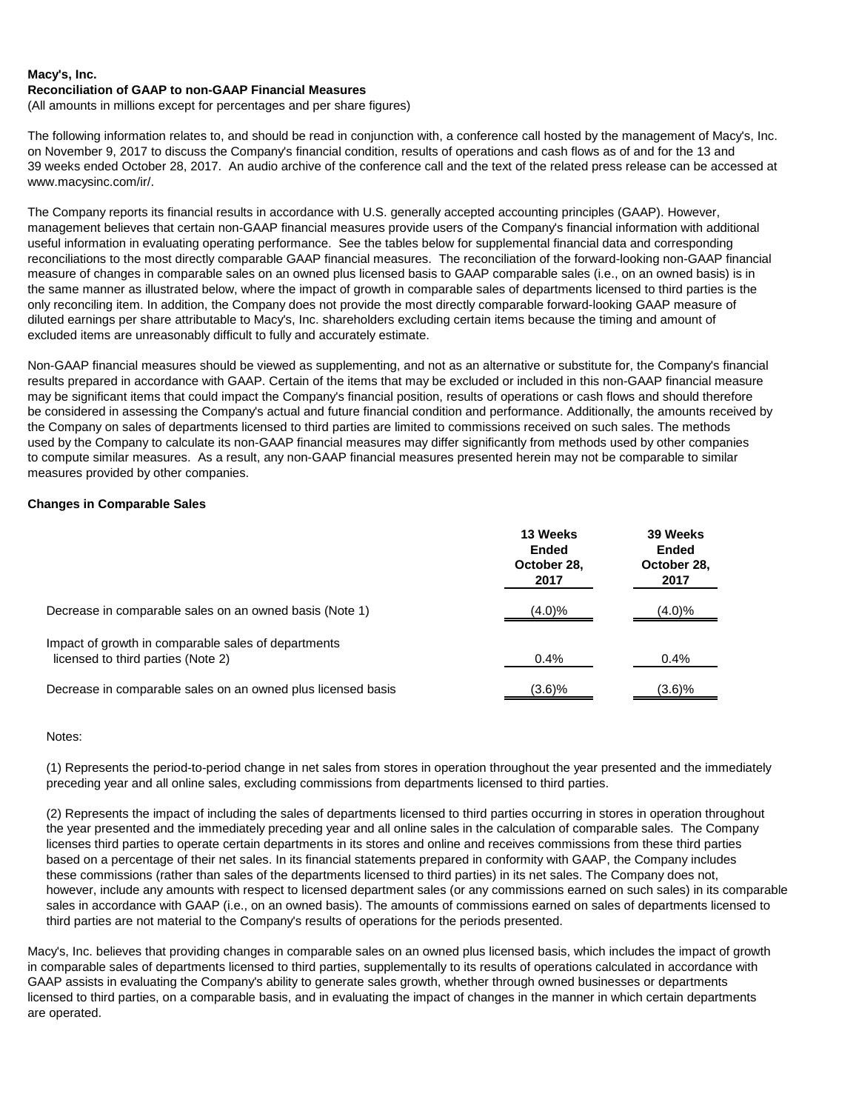#### **Macy's, Inc. Reconciliation of GAAP to non-GAAP Financial Measures**

(All amounts in millions except for percentages and per share figures)

The following information relates to, and should be read in conjunction with, a conference call hosted by the management of Macy's, Inc. on November 9, 2017 to discuss the Company's financial condition, results of operations and cash flows as of and for the 13 and 39 weeks ended October 28, 2017. An audio archive of the conference call and the text of the related press release can be accessed at www.macysinc.com/ir/.

The Company reports its financial results in accordance with U.S. generally accepted accounting principles (GAAP). However, management believes that certain non-GAAP financial measures provide users of the Company's financial information with additional useful information in evaluating operating performance. See the tables below for supplemental financial data and corresponding reconciliations to the most directly comparable GAAP financial measures. The reconciliation of the forward-looking non-GAAP financial measure of changes in comparable sales on an owned plus licensed basis to GAAP comparable sales (i.e., on an owned basis) is in the same manner as illustrated below, where the impact of growth in comparable sales of departments licensed to third parties is the only reconciling item. In addition, the Company does not provide the most directly comparable forward-looking GAAP measure of diluted earnings per share attributable to Macy's, Inc. shareholders excluding certain items because the timing and amount of excluded items are unreasonably difficult to fully and accurately estimate.

Non-GAAP financial measures should be viewed as supplementing, and not as an alternative or substitute for, the Company's financial results prepared in accordance with GAAP. Certain of the items that may be excluded or included in this non-GAAP financial measure may be significant items that could impact the Company's financial position, results of operations or cash flows and should therefore be considered in assessing the Company's actual and future financial condition and performance. Additionally, the amounts received by the Company on sales of departments licensed to third parties are limited to commissions received on such sales. The methods used by the Company to calculate its non-GAAP financial measures may differ significantly from methods used by other companies to compute similar measures. As a result, any non-GAAP financial measures presented herein may not be comparable to similar measures provided by other companies.

### **Changes in Comparable Sales**

|                                                                                           | 13 Weeks<br><b>Ended</b><br>October 28,<br>2017 | 39 Weeks<br><b>Ended</b><br>October 28,<br>2017 |
|-------------------------------------------------------------------------------------------|-------------------------------------------------|-------------------------------------------------|
| Decrease in comparable sales on an owned basis (Note 1)                                   | $(4.0)\%$                                       | (4.0)%                                          |
| Impact of growth in comparable sales of departments<br>licensed to third parties (Note 2) | 0.4%                                            | $0.4\%$                                         |
| Decrease in comparable sales on an owned plus licensed basis                              | (3.6)%                                          | $(3.6)\%$                                       |

#### Notes:

(1) Represents the period-to-period change in net sales from stores in operation throughout the year presented and the immediately preceding year and all online sales, excluding commissions from departments licensed to third parties.

(2) Represents the impact of including the sales of departments licensed to third parties occurring in stores in operation throughout the year presented and the immediately preceding year and all online sales in the calculation of comparable sales. The Company licenses third parties to operate certain departments in its stores and online and receives commissions from these third parties based on a percentage of their net sales. In its financial statements prepared in conformity with GAAP, the Company includes these commissions (rather than sales of the departments licensed to third parties) in its net sales. The Company does not, however, include any amounts with respect to licensed department sales (or any commissions earned on such sales) in its comparable sales in accordance with GAAP (i.e., on an owned basis). The amounts of commissions earned on sales of departments licensed to third parties are not material to the Company's results of operations for the periods presented.

Macy's, Inc. believes that providing changes in comparable sales on an owned plus licensed basis, which includes the impact of growth in comparable sales of departments licensed to third parties, supplementally to its results of operations calculated in accordance with GAAP assists in evaluating the Company's ability to generate sales growth, whether through owned businesses or departments licensed to third parties, on a comparable basis, and in evaluating the impact of changes in the manner in which certain departments are operated.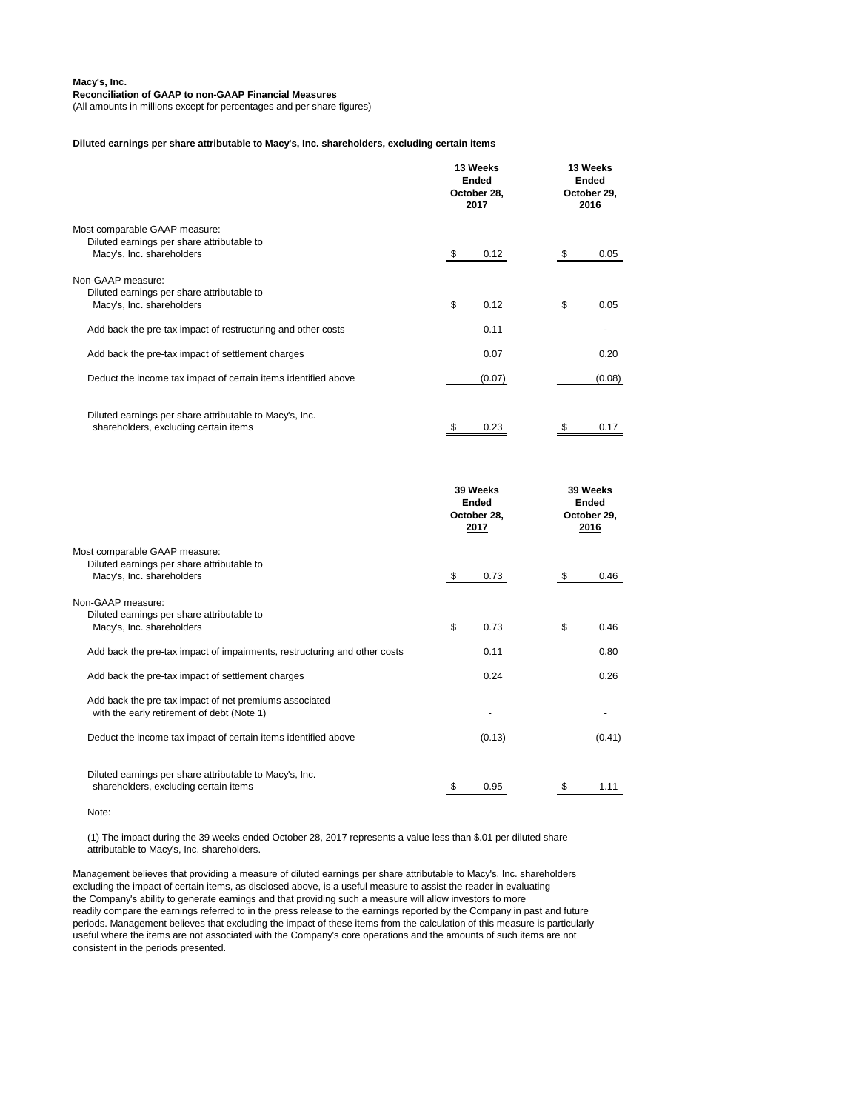#### **Macy's, Inc.**

#### **Reconciliation of GAAP to non-GAAP Financial Measures**

(All amounts in millions except for percentages and per share figures)

#### **Diluted earnings per share attributable to Macy's, Inc. shareholders, excluding certain items**

|                                                                                                      | 13 Weeks<br><b>Ended</b><br>October 28,<br>2017 | 13 Weeks<br><b>Ended</b><br>October 29,<br>2016 |  |
|------------------------------------------------------------------------------------------------------|-------------------------------------------------|-------------------------------------------------|--|
| Most comparable GAAP measure:                                                                        |                                                 |                                                 |  |
| Diluted earnings per share attributable to                                                           |                                                 |                                                 |  |
| Macy's, Inc. shareholders                                                                            | \$<br>0.12                                      | 0.05<br>\$                                      |  |
| Non-GAAP measure:                                                                                    |                                                 |                                                 |  |
| Diluted earnings per share attributable to                                                           |                                                 |                                                 |  |
| Macy's, Inc. shareholders                                                                            | \$<br>0.12                                      | \$<br>0.05                                      |  |
| Add back the pre-tax impact of restructuring and other costs                                         | 0.11                                            |                                                 |  |
| Add back the pre-tax impact of settlement charges                                                    | 0.07                                            | 0.20                                            |  |
| Deduct the income tax impact of certain items identified above                                       | (0.07)                                          | (0.08)                                          |  |
| Diluted earnings per share attributable to Macy's, Inc.<br>shareholders, excluding certain items     | 0.23<br>\$                                      | 0.17<br>\$                                      |  |
|                                                                                                      | 39 Weeks<br><b>Ended</b><br>October 28,<br>2017 | 39 Weeks<br><b>Ended</b><br>October 29,<br>2016 |  |
| Most comparable GAAP measure:                                                                        |                                                 |                                                 |  |
| Diluted earnings per share attributable to<br>Macy's, Inc. shareholders                              | 0.73<br>\$                                      | 0.46<br>\$                                      |  |
| Non-GAAP measure:                                                                                    |                                                 |                                                 |  |
| Diluted earnings per share attributable to                                                           |                                                 |                                                 |  |
| Macy's, Inc. shareholders                                                                            | \$<br>0.73                                      | \$<br>0.46                                      |  |
| Add back the pre-tax impact of impairments, restructuring and other costs                            | 0.11                                            | 0.80                                            |  |
| Add back the pre-tax impact of settlement charges                                                    | 0.24                                            | 0.26                                            |  |
| Add back the pre-tax impact of net premiums associated<br>with the early retirement of debt (Note 1) |                                                 |                                                 |  |
| Deduct the income tax impact of certain items identified above                                       | (0.13)                                          | (0.41)                                          |  |
| Diluted earnings per share attributable to Macy's, Inc.<br>shareholders, excluding certain items     | 0.95<br>\$                                      | 1.11<br>\$                                      |  |

Note:

(1) The impact during the 39 weeks ended October 28, 2017 represents a value less than \$.01 per diluted share attributable to Macy's, Inc. shareholders.

Management believes that providing a measure of diluted earnings per share attributable to Macy's, Inc. shareholders

excluding the impact of certain items, as disclosed above, is a useful measure to assist the reader in evaluating the Company's ability to generate earnings and that providing such a measure will allow investors to more readily compare the earnings referred to in the press release to the earnings reported by the Company in past and future periods. Management believes that excluding the impact of these items from the calculation of this measure is particularly useful where the items are not associated with the Company's core operations and the amounts of such items are not consistent in the periods presented.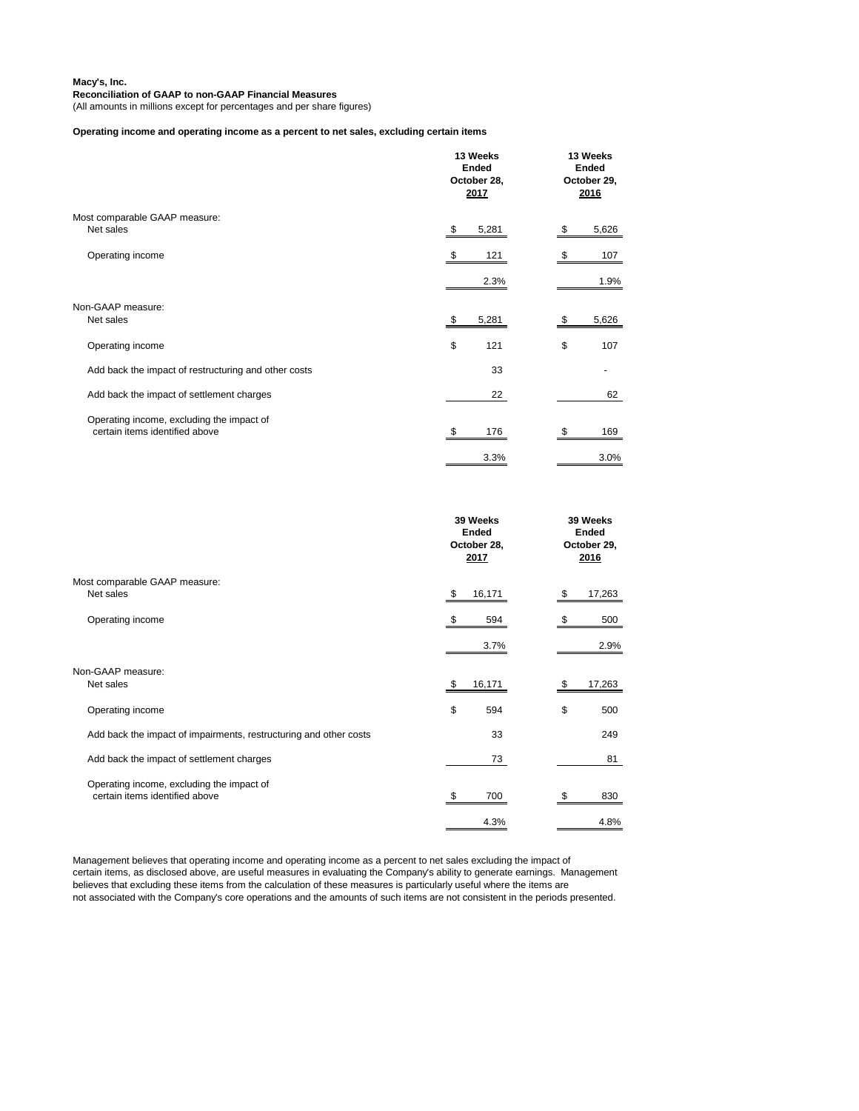## **Macy's, Inc.**

## **Reconciliation of GAAP to non-GAAP Financial Measures**

(All amounts in millions except for percentages and per share figures)

## **Operating income and operating income as a percent to net sales, excluding certain items**

|                                                                             | 13 Weeks<br><b>Ended</b><br>October 28,<br>2017 | 13 Weeks<br><b>Ended</b><br>October 29,<br>2016 |  |
|-----------------------------------------------------------------------------|-------------------------------------------------|-------------------------------------------------|--|
| Most comparable GAAP measure:<br>Net sales                                  | 5,281<br>-SS                                    | 5,626                                           |  |
| Operating income                                                            | 121                                             | 107                                             |  |
|                                                                             | 2.3%                                            | 1.9%                                            |  |
| Non-GAAP measure:<br>Net sales                                              | 5,281                                           | 5,626<br>£.                                     |  |
| Operating income                                                            | \$<br>121                                       | \$<br>107                                       |  |
| Add back the impact of restructuring and other costs                        | 33                                              |                                                 |  |
| Add back the impact of settlement charges                                   | 22                                              | 62                                              |  |
| Operating income, excluding the impact of<br>certain items identified above | 176                                             | 169                                             |  |
|                                                                             | 3.3%                                            | 3.0%                                            |  |

|                                                                   | 39 Weeks<br><b>Ended</b><br>October 28,<br>2017 | 39 Weeks<br><b>Ended</b><br>October 29,<br>2016 |  |
|-------------------------------------------------------------------|-------------------------------------------------|-------------------------------------------------|--|
| Most comparable GAAP measure:                                     |                                                 |                                                 |  |
| Net sales                                                         | 16,171<br>\$                                    | 17,263<br>\$.                                   |  |
| Operating income                                                  | 594                                             | 500                                             |  |
|                                                                   | 3.7%                                            | 2.9%                                            |  |
| Non-GAAP measure:                                                 |                                                 |                                                 |  |
| Net sales                                                         | 16,171                                          | 17,263<br>\$.                                   |  |
| Operating income                                                  | \$<br>594                                       | \$<br>500                                       |  |
| Add back the impact of impairments, restructuring and other costs | 33                                              | 249                                             |  |
| Add back the impact of settlement charges                         | 73                                              | 81                                              |  |
| Operating income, excluding the impact of                         |                                                 |                                                 |  |
| certain items identified above                                    | 700                                             | 830                                             |  |
|                                                                   | 4.3%                                            | 4.8%                                            |  |

Management believes that operating income and operating income as a percent to net sales excluding the impact of certain items, as disclosed above, are useful measures in evaluating the Company's ability to generate earnings. Management believes that excluding these items from the calculation of these measures is particularly useful where the items are not associated with the Company's core operations and the amounts of such items are not consistent in the periods presented.